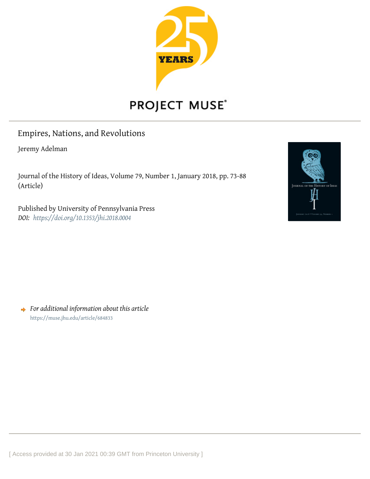

## PROJECT MUSE®

## Empires, Nations, and Revolutions

Jeremy Adelman

Journal of the History of Ideas, Volume 79, Number 1, January 2018, pp. 73-88 (Article)

Published by University of Pennsylvania Press *DOI: <https://doi.org/10.1353/jhi.2018.0004>*



*For additional information about this article* <https://muse.jhu.edu/article/684833>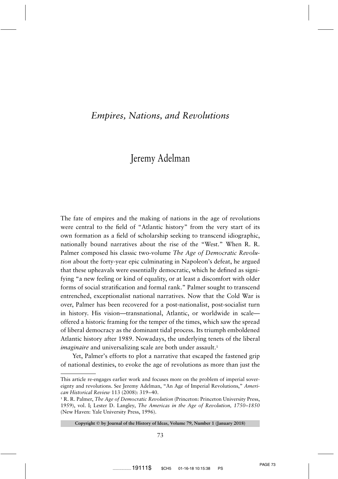## *Empires, Nations, and Revolutions*

## Jeremy Adelman

The fate of empires and the making of nations in the age of revolutions were central to the field of "Atlantic history" from the very start of its own formation as a field of scholarship seeking to transcend idiographic, nationally bound narratives about the rise of the "West." When R. R. Palmer composed his classic two-volume *The Age of Democratic Revolution* about the forty-year epic culminating in Napoleon's defeat, he argued that these upheavals were essentially democratic, which he defined as signifying "a new feeling or kind of equality, or at least a discomfort with older forms of social stratification and formal rank." Palmer sought to transcend entrenched, exceptionalist national narratives. Now that the Cold War is over, Palmer has been recovered for a post-nationalist, post-socialist turn in history. His vision—transnational, Atlantic, or worldwide in scale offered a historic framing for the temper of the times, which saw the spread of liberal democracy as the dominant tidal process. Its triumph emboldened Atlantic history after 1989. Nowadays, the underlying tenets of the liberal *imaginaire* and universalizing scale are both under assault.<sup>1</sup>

Yet, Palmer's efforts to plot a narrative that escaped the fastened grip of national destinies, to evoke the age of revolutions as more than just the

This article re-engages earlier work and focuses more on the problem of imperial sovereignty and revolutions. See Jeremy Adelman, "An Age of Imperial Revolutions," *American Historical Review* 113 (2008): 319–40.

<sup>1</sup> R. R. Palmer, *The Age of Democratic Revolution* (Princeton: Princeton University Press, 1959), vol. I; Lester D. Langley, *The Americas in the Age of Revolution, 1750–1850* (New Haven: Yale University Press, 1996).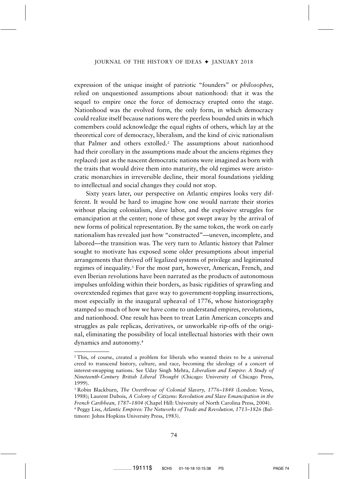expression of the unique insight of patriotic "founders" or *philosophes*, relied on unquestioned assumptions about nationhood: that it was the sequel to empire once the force of democracy erupted onto the stage. Nationhood was the evolved form, the only form, in which democracy could realize itself because nations were the peerless bounded units in which comembers could acknowledge the equal rights of others, which lay at the theoretical core of democracy, liberalism, and the kind of civic nationalism that Palmer and others extolled.2 The assumptions about nationhood had their corollary in the assumptions made about the anciens régimes they replaced: just as the nascent democratic nations were imagined as born with the traits that would drive them into maturity, the old regimes were aristocratic monarchies in irreversible decline, their moral foundations yielding to intellectual and social changes they could not stop.

Sixty years later, our perspective on Atlantic empires looks very different. It would be hard to imagine how one would narrate their stories without placing colonialism, slave labor, and the explosive struggles for emancipation at the center; none of these got swept away by the arrival of new forms of political representation. By the same token, the work on early nationalism has revealed just how "constructed"—uneven, incomplete, and labored—the transition was. The very turn to Atlantic history that Palmer sought to motivate has exposed some older presumptions about imperial arrangements that thrived off legalized systems of privilege and legitimated regimes of inequality.3 For the most part, however, American, French, and even Iberian revolutions have been narrated as the products of autonomous impulses unfolding within their borders, as basic rigidities of sprawling and overextended regimes that gave way to government-toppling insurrections, most especially in the inaugural upheaval of 1776, whose historiography stamped so much of how we have come to understand empires, revolutions, and nationhood. One result has been to treat Latin American concepts and struggles as pale replicas, derivatives, or unworkable rip-offs of the original, eliminating the possibility of local intellectual histories with their own dynamics and autonomy.4

<sup>2</sup> This, of course, created a problem for liberals who wanted theirs to be a universal creed to transcend history, culture, and race, becoming the ideology of a concert of interest-swapping nations. See Uday Singh Mehta, *Liberalism and Empire: A Study of Nineteenth-Century British Liberal Thought* (Chicago: University of Chicago Press, 1999).

<sup>3</sup> Robin Blackburn, *The Overthrow of Colonial Slavery, 1776–1848* (London: Verso, 1988); Laurent Dubois, *A Colony of Citizens: Revolution and Slave Emancipation in the French Caribbean, 1787–1804* (Chapel Hill: University of North Carolina Press, 2004).

<sup>4</sup> Peggy Liss, *Atlantic Empires: The Networks of Trade and Revolution, 1713–1826* (Baltimore: Johns Hopkins University Press, 1983).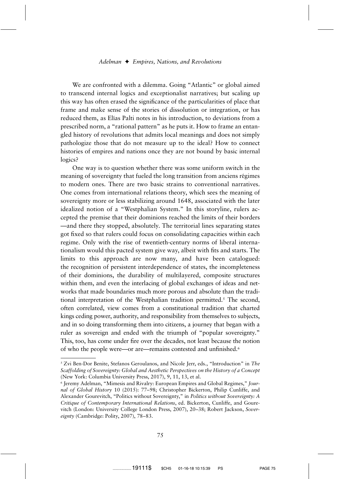We are confronted with a dilemma. Going "Atlantic" or global aimed to transcend internal logics and exceptionalist narratives; but scaling up this way has often erased the significance of the particularities of place that frame and make sense of the stories of dissolution or integration, or has reduced them, as Elías Palti notes in his introduction, to deviations from a prescribed norm, a "rational pattern" as he puts it. How to frame an entangled history of revolutions that admits local meanings and does not simply pathologize those that do not measure up to the ideal? How to connect histories of empires and nations once they are not bound by basic internal logics?

One way is to question whether there was some uniform switch in the meaning of sovereignty that fueled the long transition from anciens régimes to modern ones. There are two basic strains to conventional narratives. One comes from international relations theory, which sees the meaning of sovereignty more or less stabilizing around 1648, associated with the later idealized notion of a "Westphalian System." In this storyline, rulers accepted the premise that their dominions reached the limits of their borders —and there they stopped, absolutely. The territorial lines separating states got fixed so that rulers could focus on consolidating capacities within each regime. Only with the rise of twentieth-century norms of liberal internationalism would this pacted system give way, albeit with fits and starts. The limits to this approach are now many, and have been catalogued: the recognition of persistent interdependence of states, the incompleteness of their dominions, the durability of multilayered, composite structures within them, and even the interlacing of global exchanges of ideas and networks that made boundaries much more porous and absolute than the traditional interpretation of the Westphalian tradition permitted.<sup>5</sup> The second, often correlated, view comes from a constitutional tradition that charted kings ceding power, authority, and responsibility from themselves to subjects, and in so doing transforming them into citizens, a journey that began with a ruler as sovereign and ended with the triumph of "popular sovereignty." This, too, has come under fire over the decades, not least because the notion of who the people were—or are—remains contested and unfinished.6

<sup>5</sup> Zvi Ben-Dor Benite, Stefanos Geroulanos, and Nicole Jerr, eds., "Introduction" in *The Scaffolding of Sovereignty: Global and Aesthetic Perspectives on the History of a Concept* (New York: Columbia University Press, 2017), 9, 11, 13, et al.

<sup>6</sup> Jeremy Adelman, "Mimesis and Rivalry: European Empires and Global Regimes," *Journal of Global History* 10 (2015): 77–98; Christopher Bickerton, Philip Cunliffe, and Alexander Gourevitch, "Politics without Sovereignty," in *Politics without Sovereignty: A Critique of Contemporary International Relations*, ed. Bickerton, Cunliffe, and Gourevitch (London: University College London Press, 2007), 20–38; Robert Jackson, *Sovereignty* (Cambridge: Polity, 2007), 78–83.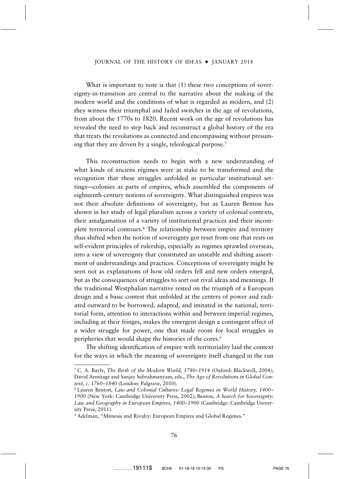What is important to note is that (1) these two conceptions of sovereignty-in-transition are central to the narrative about the making of the modern world and the conditions of what is regarded as modern, and (2) they witness their triumphal and failed switches in the age of revolutions, from about the 1770s to 1820. Recent work on the age of revolutions has revealed the need to step back and reconstruct a global history of the era that treats the revolutions as connected and encompassing without presuming that they are driven by a single, teleological purpose.7

This reconstruction needs to begin with a new understanding of what kinds of anciens régimes were at stake to be transformed and the recognition that these struggles unfolded in particular institutional settings—colonies as parts of empires, which assembled the components of eighteenth-century notions of sovereignty. What distinguished empires was not their absolute definitions of sovereignty, but as Lauren Benton has shown in her study of legal pluralism across a variety of colonial contexts, their amalgamation of a variety of institutional practices and their incomplete territorial contours.8 The relationship between empire and territory thus shifted when the notion of sovereignty got reset from one that rests on self-evident principles of rulership, especially as regimes sprawled overseas, into a view of sovereignty that constituted an unstable and shifting assortment of understandings and practices. Conceptions of sovereignty might be seen not as explanations of how old orders fell and new orders emerged, but as the consequences of struggles to sort out rival ideas and meanings. If the traditional Westphalian narrative rested on the triumph of a European design and a basic contest that unfolded at the centers of power and radiated outward to be borrowed, adapted, and imitated in the national, territorial form, attention to interactions within and between imperial regimes, including at their fringes, makes the emergent design a contingent effect of a wider struggle for power, one that made room for local struggles in peripheries that would shape the histories of the cores.<sup>9</sup>

The shifting identification of empire with territoriality laid the context for the ways in which the meaning of sovereignty itself changed in the run

<sup>7</sup> C. A. Bayly, *The Birth of the Modern World, 1780–1914* (Oxford: Blackwell, 2004); David Armitage and Sanjay Subrahmanyam, eds., *The Age of Revolutions in Global Context, c. 1760–1840* (London: Palgrave, 2010).

<sup>8</sup> Lauren Benton, *Law and Colonial Cultures: Legal Regimes in World History, 1400– 1900* (New York: Cambridge University Press, 2002); Benton, *A Search for Sovereignty: Law and Geography in European Empires, 1400–1900* (Cambridge: Cambridge University Press, 2011).

<sup>9</sup> Adelman, "Mimesis and Rivalry: European Empires and Global Regimes."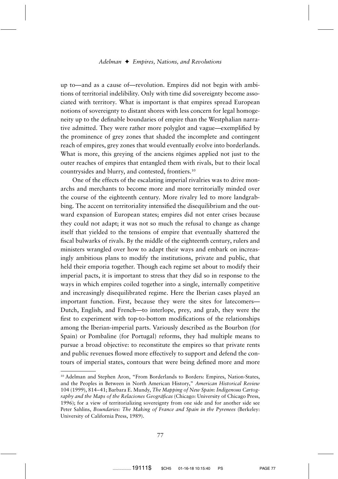up to—and as a cause of—revolution. Empires did not begin with ambitions of territorial indelibility. Only with time did sovereignty become associated with territory. What is important is that empires spread European notions of sovereignty to distant shores with less concern for legal homogeneity up to the definable boundaries of empire than the Westphalian narrative admitted. They were rather more polyglot and vague—exemplified by the prominence of grey zones that shaded the incomplete and contingent reach of empires, grey zones that would eventually evolve into borderlands. What is more, this greying of the anciens régimes applied not just to the outer reaches of empires that entangled them with rivals, but to their local countrysides and blurry, and contested, frontiers.10

One of the effects of the escalating imperial rivalries was to drive monarchs and merchants to become more and more territorially minded over the course of the eighteenth century. More rivalry led to more landgrabbing. The accent on territoriality intensified the disequilibrium and the outward expansion of European states; empires did not enter crises because they could not adapt; it was not so much the refusal to change as change itself that yielded to the tensions of empire that eventually shattered the fiscal bulwarks of rivals. By the middle of the eighteenth century, rulers and ministers wrangled over how to adapt their ways and embark on increasingly ambitious plans to modify the institutions, private and public, that held their emporia together. Though each regime set about to modify their imperial pacts, it is important to stress that they did so in response to the ways in which empires coiled together into a single, internally competitive and increasingly disequilibrated regime. Here the Iberian cases played an important function. First, because they were the sites for latecomers— Dutch, English, and French—to interlope, prey, and grab, they were the first to experiment with top-to-bottom modifications of the relationships among the Iberian-imperial parts. Variously described as the Bourbon (for Spain) or Pombaline (for Portugal) reforms, they had multiple means to pursue a broad objective: to reconstitute the empires so that private rents and public revenues flowed more effectively to support and defend the contours of imperial states, contours that were being defined more and more

<sup>10</sup> Adelman and Stephen Aron, "From Borderlands to Borders: Empires, Nation-States, and the Peoples in Between in North American History," *American Historical Review* 104 (1999), 814–41; Barbara E. Mundy, *The Mapping of New Spain: Indigenous Cartography and the Maps of the Relaciones Geogra´ficas* (Chicago: University of Chicago Press, 1996); for a view of territorializing sovereignty from one side and for another side see Peter Sahlins, *Boundaries: The Making of France and Spain in the Pyrenees* (Berkeley: University of California Press, 1989).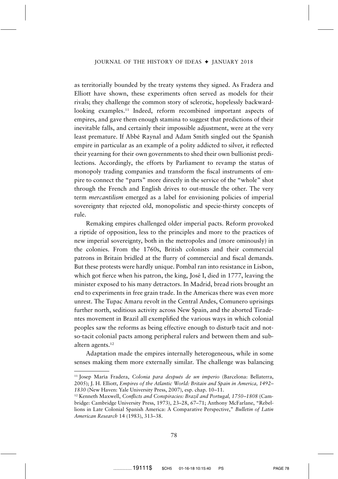as territorially bounded by the treaty systems they signed. As Fradera and Elliott have shown, these experiments often served as models for their rivals; they challenge the common story of sclerotic, hopelessly backwardlooking examples.11 Indeed, reform recombined important aspects of empires, and gave them enough stamina to suggest that predictions of their inevitable falls, and certainly their impossible adjustment, were at the very least premature. If Abbé Raynal and Adam Smith singled out the Spanish empire in particular as an example of a polity addicted to silver, it reflected their yearning for their own governments to shed their own bullionist predilections. Accordingly, the efforts by Parliament to revamp the status of monopoly trading companies and transform the fiscal instruments of empire to connect the "parts" more directly in the service of the "whole" shot through the French and English drives to out-muscle the other. The very term *mercantilism* emerged as a label for envisioning policies of imperial sovereignty that rejected old, monopolistic and specie-thirsty concepts of rule.

Remaking empires challenged older imperial pacts. Reform provoked a riptide of opposition, less to the principles and more to the practices of new imperial sovereignty, both in the metropoles and (more ominously) in the colonies. From the 1760s, British colonists and their commercial patrons in Britain bridled at the flurry of commercial and fiscal demands. But these protests were hardly unique. Pombal ran into resistance in Lisbon, which got fierce when his patron, the king, José I, died in 1777, leaving the minister exposed to his many detractors. In Madrid, bread riots brought an end to experiments in free grain trade. In the Americas there was even more unrest. The Tupac Amaru revolt in the Central Andes, Comunero uprisings further north, seditious activity across New Spain, and the aborted Tiradentes movement in Brazil all exemplified the various ways in which colonial peoples saw the reforms as being effective enough to disturb tacit and notso-tacit colonial pacts among peripheral rulers and between them and subaltern agents.<sup>12</sup>

Adaptation made the empires internally heterogeneous, while in some senses making them more externally similar. The challenge was balancing

<sup>&</sup>lt;sup>11</sup> Josep María Fradera, *Colonia para después de un imperio* (Barcelona: Bellaterra, 2005); J. H. Elliott, *Empires of the Atlantic World: Britain and Spain in America, 1492– 1830* (New Haven: Yale University Press, 2007), esp. chap. 10–11.

<sup>12</sup> Kenneth Maxwell, *Conflicts and Conspiracies: Brazil and Portugal, 1750–1808* (Cambridge: Cambridge University Press, 1973), 23–28, 67–71; Anthony McFarlane, "Rebellions in Late Colonial Spanish America: A Comparative Perspective," *Bulletin of Latin American Research* 14 (1983), 313–38.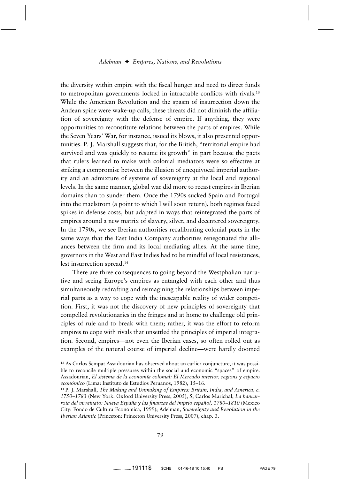the diversity within empire with the fiscal hunger and need to direct funds to metropolitan governments locked in intractable conflicts with rivals.13 While the American Revolution and the spasm of insurrection down the Andean spine were wake-up calls, these threats did not diminish the affiliation of sovereignty with the defense of empire. If anything, they were opportunities to reconstitute relations between the parts of empires. While the Seven Years' War, for instance, issued its blows, it also presented opportunities. P. J. Marshall suggests that, for the British, "territorial empire had survived and was quickly to resume its growth" in part because the pacts that rulers learned to make with colonial mediators were so effective at striking a compromise between the illusion of unequivocal imperial authority and an admixture of systems of sovereignty at the local and regional levels. In the same manner, global war did more to recast empires in Iberian domains than to sunder them. Once the 1790s sucked Spain and Portugal into the maelstrom (a point to which I will soon return), both regimes faced spikes in defense costs, but adapted in ways that reintegrated the parts of empires around a new matrix of slavery, silver, and decentered sovereignty. In the 1790s, we see Iberian authorities recalibrating colonial pacts in the same ways that the East India Company authorities renegotiated the alliances between the firm and its local mediating allies. At the same time, governors in the West and East Indies had to be mindful of local resistances, lest insurrection spread.14

There are three consequences to going beyond the Westphalian narrative and seeing Europe's empires as entangled with each other and thus simultaneously redrafting and reimagining the relationships between imperial parts as a way to cope with the inescapable reality of wider competition. First, it was not the discovery of new principles of sovereignty that compelled revolutionaries in the fringes and at home to challenge old principles of rule and to break with them; rather, it was the effort to reform empires to cope with rivals that unsettled the principles of imperial integration. Second, empires—not even the Iberian cases, so often rolled out as examples of the natural course of imperial decline—were hardly doomed

<sup>&</sup>lt;sup>13</sup> As Carlos Sempat Assadourian has observed about an earlier conjuncture, it was possible to reconcile multiple pressures within the social and economic "spaces" of empire. Assadourian, *El sistema de la economı´a colonial: El Mercado interior, regions y espacio econo´mico* (Lima: Instituto de Estudios Peruanos, 1982), 15–16.

<sup>14</sup> P. J. Marshall, *The Making and Unmaking of Empires: Britain, India, and America, c. 1750–1783* (New York: Oxford University Press, 2005), 5; Carlos Marichal, *La bancarrota del virreinato: Nueva Espan˜ a y las finanzas del imprio espan˜ ol, 1780–1810* (Mexico City: Fondo de Cultura Econo´mica, 1999); Adelman, *Sovereignty and Revolution in the Iberian Atlantic* (Princeton: Princeton University Press, 2007), chap. 3.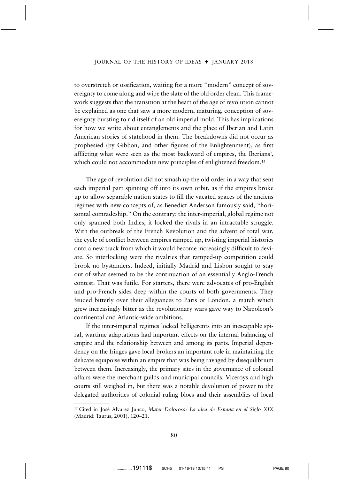to overstretch or ossification, waiting for a more "modern" concept of sovereignty to come along and wipe the slate of the old order clean. This framework suggests that the transition at the heart of the age of revolution cannot be explained as one that saw a more modern, maturing, conception of sovereignty bursting to rid itself of an old imperial mold. This has implications for how we write about entanglements and the place of Iberian and Latin American stories of statehood in them. The breakdowns did not occur as prophesied (by Gibbon, and other figures of the Enlightenment), as first afflicting what were seen as the most backward of empires, the Iberians', which could not accommodate new principles of enlightened freedom.<sup>15</sup>

The age of revolution did not smash up the old order in a way that sent each imperial part spinning off into its own orbit, as if the empires broke up to allow separable nation states to fill the vacated spaces of the anciens régimes with new concepts of, as Benedict Anderson famously said, "horizontal comradeship." On the contrary: the inter-imperial, global regime not only spanned both Indies, it locked the rivals in an intractable struggle. With the outbreak of the French Revolution and the advent of total war, the cycle of conflict between empires ramped up, twisting imperial histories onto a new track from which it would become increasingly difficult to deviate. So interlocking were the rivalries that ramped-up competition could brook no bystanders. Indeed, initially Madrid and Lisbon sought to stay out of what seemed to be the continuation of an essentially Anglo-French contest. That was futile. For starters, there were advocates of pro-English and pro-French sides deep within the courts of both governments. They feuded bitterly over their allegiances to Paris or London, a match which grew increasingly bitter as the revolutionary wars gave way to Napoleon's continental and Atlantic-wide ambitions.

If the inter-imperial regimes locked belligerents into an inescapable spiral, wartime adaptations had important effects on the internal balancing of empire and the relationship between and among its parts. Imperial dependency on the fringes gave local brokers an important role in maintaining the delicate equipoise within an empire that was being ravaged by disequilibrium between them. Increasingly, the primary sites in the governance of colonial affairs were the merchant guilds and municipal councils. Viceroys and high courts still weighed in, but there was a notable devolution of power to the delegated authorities of colonial ruling blocs and their assemblies of local

<sup>&</sup>lt;sup>15</sup> Cited in José Alvarez Junco, *Mater Dolorosa: La idea de España en el Siglo XIX* (Madrid: Taurus, 2001), 120–21.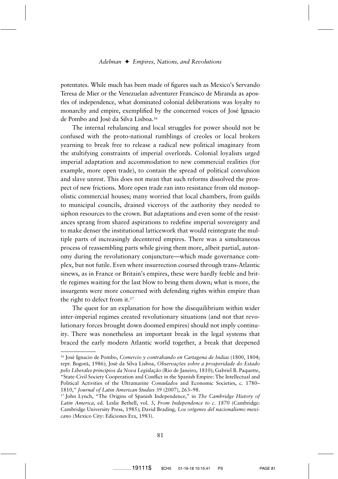potentates. While much has been made of figures such as Mexico's Servando Teresa de Mier or the Venezuelan adventurer Francisco de Miranda as apostles of independence, what dominated colonial deliberations was loyalty to monarchy and empire, exemplified by the concerned voices of Jose´ Ignacio de Pombo and José da Silva Lisboa.<sup>16</sup>

The internal rebalancing and local struggles for power should not be confused with the proto-national rumblings of creoles or local brokers yearning to break free to release a radical new political imaginary from the stultifying constraints of imperial overlords. Colonial loyalists urged imperial adaptation and accommodation to new commercial realities (for example, more open trade), to contain the spread of political convulsion and slave unrest. This does not mean that such reforms dissolved the prospect of new frictions. More open trade ran into resistance from old monopolistic commercial houses; many worried that local chambers, from guilds to municipal councils, drained viceroys of the authority they needed to siphon resources to the crown. But adaptations and even some of the resistances sprang from shared aspirations to redefine imperial sovereignty and to make denser the institutional latticework that would reintegrate the multiple parts of increasingly decentered empires. There was a simultaneous process of reassembling parts while giving them more, albeit partial, autonomy during the revolutionary conjuncture—which made governance complex, but not futile. Even where insurrection coursed through trans-Atlantic sinews, as in France or Britain's empires, these were hardly feeble and brittle regimes waiting for the last blow to bring them down; what is more, the insurgents were more concerned with defending rights within empire than the right to defect from it.17

The quest for an explanation for how the disequilibrium within wider inter-imperial regimes created revolutionary situations (and not that revolutionary forces brought down doomed empires) should not imply continuity. There was nonetheless an important break in the legal systems that braced the early modern Atlantic world together, a break that deepened

<sup>16</sup> Jose´ Ignacio de Pombo, *Comercio y contrabando en Cartagena de Indias* (1800, 1804; repr. Bogotá, 1986); José da Silva Lisboa, *Observações sobre a prosperidade do Estado* pelo Liberales principios da Nova Legislação (Rio de Janeiro, 1810); Gabriel B. Paquette, "State-Civil Society Cooperation and Conflict in the Spanish Empire: The Intellectual and Political Activities of the Ultramarine *Consulados* and Economic Societies, c. 1780– 1810," *Journal of Latin American Studies* 39 (2007), 263–98.

<sup>17</sup> John Lynch, "The Origins of Spanish Independence," in *The Cambridge History of Latin America*, ed. Leslie Bethell, vol. 3, *From Independence to c. 1870* (Cambridge: Cambridge University Press, 1985); David Brading, Los orígenes del nacionalismo mexi*cano* (Mexico City: Ediciones Era, 1983).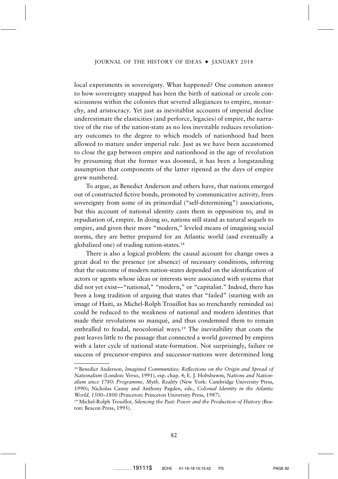local experiments in sovereignty. What happened? One common answer to how sovereignty snapped has been the birth of national or creole consciousness within the colonies that severed allegiances to empire, monarchy, and aristocracy. Yet just as inevitablist accounts of imperial decline underestimate the elasticities (and perforce, legacies) of empire, the narrative of the rise of the nation-state as no less inevitable reduces revolutionary outcomes to the degree to which models of nationhood had been allowed to mature under imperial rule. Just as we have been accustomed to close the gap between empire and nationhood in the age of revolution by presuming that the former was doomed, it has been a longstanding assumption that components of the latter ripened as the days of empire grew numbered.

To argue, as Benedict Anderson and others have, that nations emerged out of constructed fictive bonds, promoted by communicative activity, frees sovereignty from some of its primordial ("self-determining") associations, but this account of national identity casts them in opposition to, and in repudiation of, empire. In doing so, nations still stand as natural sequels to empire, and given their more "modern," leveled means of imagining social norms, they are better prepared for an Atlantic world (and eventually a globalized one) of trading nation-states.18

There is also a logical problem: the causal account for change owes a great deal to the presence (or absence) of necessary conditions, inferring that the outcome of modern nation-states depended on the identification of actors or agents whose ideas or interests were associated with systems that did not yet exist—"national," "modern," or "capitalist." Indeed, there has been a long tradition of arguing that states that "failed" (starting with an image of Haiti, as Michel-Rolph Trouillot has so trenchantly reminded us) could be reduced to the weakness of national and modern identities that made their revolutions so manqué, and thus condemned them to remain enthralled to feudal, neocolonial ways.<sup>19</sup> The inevitability that coats the past leaves little to the passage that connected a world governed by empires with a later cycle of national state-formation. Not surprisingly, failure or success of precursor-empires and successor-nations were determined long

<sup>18</sup> Benedict Anderson, *Imagined Communities: Reflections on the Origin and Spread of Nationalism* (London: Verso, 1991), esp. chap. 4; E. J. Hobsbawm, *Nations and Nationalism since 1780: Programme, Myth, Reality* (New York: Cambridge University Press, 1990); Nicholas Canny and Anthony Pagden, eds., *Colonial Identity in the Atlantic World, 1500–1800* (Princeton: Princeton University Press, 1987).

<sup>19</sup> Michel-Rolph Trouillot*, Silencing the Past: Power and the Production of History* (Boston: Beacon Press, 1995).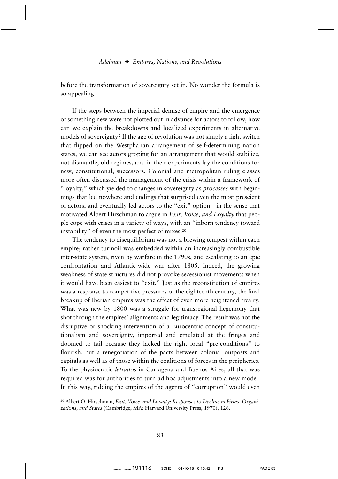before the transformation of sovereignty set in. No wonder the formula is so appealing.

If the steps between the imperial demise of empire and the emergence of something new were not plotted out in advance for actors to follow, how can we explain the breakdowns and localized experiments in alternative models of sovereignty? If the age of revolution was not simply a light switch that flipped on the Westphalian arrangement of self-determining nation states, we can see actors groping for an arrangement that would stabilize, not dismantle, old regimes, and in their experiments lay the conditions for new, constitutional, successors. Colonial and metropolitan ruling classes more often discussed the management of the crisis within a framework of "loyalty," which yielded to changes in sovereignty as *processes* with beginnings that led nowhere and endings that surprised even the most prescient of actors, and eventually led actors to the "exit" option—in the sense that motivated Albert Hirschman to argue in *Exit, Voice, and Loyalty* that people cope with crises in a variety of ways, with an "inborn tendency toward instability" of even the most perfect of mixes.20

The tendency to disequilibrium was not a brewing tempest within each empire; rather turmoil was embedded within an increasingly combustible inter-state system, riven by warfare in the 1790s, and escalating to an epic confrontation and Atlantic-wide war after 1805. Indeed, the growing weakness of state structures did not provoke secessionist movements when it would have been easiest to "exit." Just as the reconstitution of empires was a response to competitive pressures of the eighteenth century, the final breakup of Iberian empires was the effect of even more heightened rivalry. What was new by 1800 was a struggle for transregional hegemony that shot through the empires' alignments and legitimacy. The result was not the disruptive or shocking intervention of a Eurocentric concept of constitutionalism and sovereignty, imported and emulated at the fringes and doomed to fail because they lacked the right local "pre-conditions" to flourish, but a renegotiation of the pacts between colonial outposts and capitals as well as of those within the coalitions of forces in the peripheries. To the physiocratic *letrados* in Cartagena and Buenos Aires, all that was required was for authorities to turn ad hoc adjustments into a new model. In this way, ridding the empires of the agents of "corruption" would even

<sup>20</sup> Albert O. Hirschman, *Exit, Voice, and Loyalty: Responses to Decline in Firms, Organizations, and States* (Cambridge, MA: Harvard University Press, 1970), 126.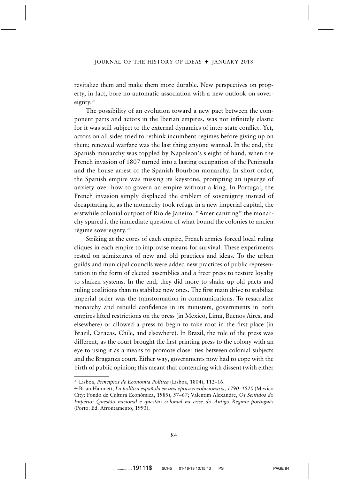revitalize them and make them more durable. New perspectives on property, in fact, bore no automatic association with a new outlook on sovereignty.<sup>21</sup>

The possibility of an evolution toward a new pact between the component parts and actors in the Iberian empires, was not infinitely elastic for it was still subject to the external dynamics of inter-state conflict. Yet, actors on all sides tried to rethink incumbent regimes before giving up on them; renewed warfare was the last thing anyone wanted. In the end, the Spanish monarchy was toppled by Napoleon's sleight of hand, when the French invasion of 1807 turned into a lasting occupation of the Peninsula and the house arrest of the Spanish Bourbon monarchy. In short order, the Spanish empire was missing its keystone, prompting an upsurge of anxiety over how to govern an empire without a king. In Portugal, the French invasion simply displaced the emblem of sovereignty instead of decapitating it, as the monarchy took refuge in a new imperial capital, the erstwhile colonial outpost of Rio de Janeiro. "Americanizing" the monarchy spared it the immediate question of what bound the colonies to ancien régime sovereignty.<sup>22</sup>

Striking at the cores of each empire, French armies forced local ruling cliques in each empire to improvise means for survival. These experiments rested on admixtures of new and old practices and ideas. To the urban guilds and municipal councils were added new practices of public representation in the form of elected assemblies and a freer press to restore loyalty to shaken systems. In the end, they did more to shake up old pacts and ruling coalitions than to stabilize new ones. The first main drive to stabilize imperial order was the transformation in communications. To resacralize monarchy and rebuild confidence in its ministers, governments in both empires lifted restrictions on the press (in Mexico, Lima, Buenos Aires, and elsewhere) or allowed a press to begin to take root in the first place (in Brazil, Caracas, Chile, and elsewhere). In Brazil, the role of the press was different, as the court brought the first printing press to the colony with an eye to using it as a means to promote closer ties between colonial subjects and the Braganza court. Either way, governments now had to cope with the birth of public opinion; this meant that contending with dissent (with either

<sup>&</sup>lt;sup>21</sup> Lisboa, *Principios de Economia Política* (Lisboa, 1804), 112-16.

<sup>&</sup>lt;sup>22</sup> Brian Hamnett, *La política española en una época revolucionaria*, 1790–1820 (Mexico City: Fondo de Cultura Econo´mica, 1985), 57–67; Valentim Alexandre, *Os Sentidos do Império: Questão nacional e questão colonial na crise do Antigo Regime português* (Porto: Ed. Afrontamento, 1993).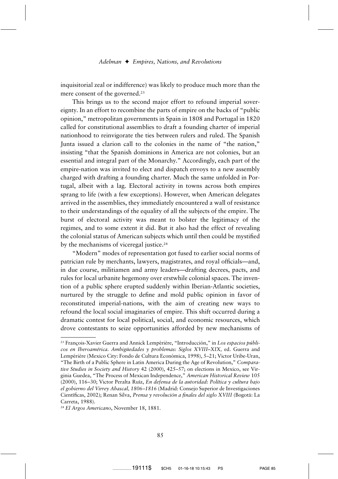inquisitorial zeal or indifference) was likely to produce much more than the mere consent of the governed.23

This brings us to the second major effort to refound imperial sovereignty. In an effort to recombine the parts of empire on the backs of "public opinion," metropolitan governments in Spain in 1808 and Portugal in 1820 called for constitutional assemblies to draft a founding charter of imperial nationhood to reinvigorate the ties between rulers and ruled. The Spanish Junta issued a clarion call to the colonies in the name of "the nation," insisting "that the Spanish dominions in America are not colonies, but an essential and integral part of the Monarchy." Accordingly, each part of the empire-nation was invited to elect and dispatch envoys to a new assembly charged with drafting a founding charter. Much the same unfolded in Portugal, albeit with a lag. Electoral activity in towns across both empires sprang to life (with a few exceptions). However, when American delegates arrived in the assemblies, they immediately encountered a wall of resistance to their understandings of the equality of all the subjects of the empire. The burst of electoral activity was meant to bolster the legitimacy of the regimes, and to some extent it did. But it also had the effect of revealing the colonial status of American subjects which until then could be mystified by the mechanisms of viceregal justice.<sup>24</sup>

"Modern" modes of representation got fused to earlier social norms of patrician rule by merchants, lawyers, magistrates, and royal officials—and, in due course, militiamen and army leaders—drafting decrees, pacts, and rules for local urbanite hegemony over erstwhile colonial spaces. The invention of a public sphere erupted suddenly within Iberian-Atlantic societies, nurtured by the struggle to define and mold public opinion in favor of reconstituted imperial-nations, with the aim of creating new ways to refound the local social imaginaries of empire. This shift occurred during a dramatic contest for local political, social, and economic resources, which drove contestants to seize opportunities afforded by new mechanisms of

<sup>&</sup>lt;sup>23</sup> François-Xavier Guerra and Annick Lempérière, "Introducción," in *Los espacios públicos en Iberoame´rica. Ambigu¨ edades y problemas: Siglos XVIII–XIX,* ed. Guerra and Lempérière (Mexico City: Fondo de Cultura Económica, 1998), 5-21; Victor Uribe-Uran, "The Birth of a Public Sphere in Latin America During the Age of Revolution," *Comparative Studies in Society and History* 42 (2000), 425–57; on elections in Mexico, see Virginia Guedea, "The Process of Mexican Independence," *American Historical Review* 105 (2000), 116–30; Victor Peralta Ruı´z, *En defensa de la autoridad: Polı´tica y cultura bajo el gobierno del Virrey Abascal, 1806–1816* (Madrid: Consejo Superior de Investigaciones Científicas, 2002); Renan Silva, *Prensa y revolución a finales del siglo XVIII* (Bogotá: La Carreta, 1988).

<sup>24</sup> *El Argos Americano*, November 18, 1881.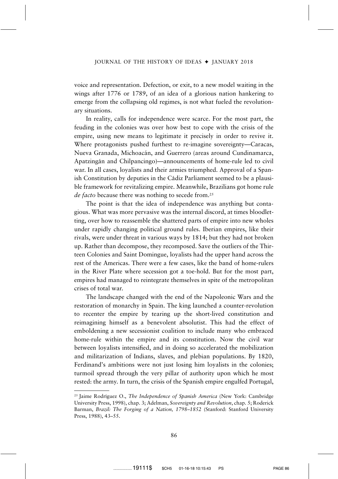voice and representation. Defection, or exit, to a new model waiting in the wings after 1776 or 1789, of an idea of a glorious nation hankering to emerge from the collapsing old regimes, is not what fueled the revolutionary situations.

In reality, calls for independence were scarce. For the most part, the feuding in the colonies was over how best to cope with the crisis of the empire, using new means to legitimate it precisely in order to revive it. Where protagonists pushed furthest to re-imagine sovereignty—Caracas, Nueva Granada, Michoacán, and Guerrero (areas around Cundinamarca, Apatzingán and Chilpancingo)—announcements of home-rule led to civil war. In all cases, loyalists and their armies triumphed. Approval of a Spanish Constitution by deputies in the Cádiz Parliament seemed to be a plausible framework for revitalizing empire. Meanwhile, Brazilians got home rule *de facto* because there was nothing to secede from.<sup>25</sup>

The point is that the idea of independence was anything but contagious. What was more pervasive was the internal discord, at times bloodletting, over how to reassemble the shattered parts of empire into new wholes under rapidly changing political ground rules. Iberian empires, like their rivals, were under threat in various ways by 1814; but they had not broken up. Rather than decompose, they recomposed. Save the outliers of the Thirteen Colonies and Saint Domingue, loyalists had the upper hand across the rest of the Americas. There were a few cases, like the band of home-rulers in the River Plate where secession got a toe-hold. But for the most part, empires had managed to reintegrate themselves in spite of the metropolitan crises of total war.

The landscape changed with the end of the Napoleonic Wars and the restoration of monarchy in Spain. The king launched a counter-revolution to recenter the empire by tearing up the short-lived constitution and reimagining himself as a benevolent absolutist. This had the effect of emboldening a new secessionist coalition to include many who embraced home-rule within the empire and its constitution. Now the civil war between loyalists intensified, and in doing so accelerated the mobilization and militarization of Indians, slaves, and plebian populations. By 1820, Ferdinand's ambitions were not just losing him loyalists in the colonies; turmoil spread through the very pillar of authority upon which he most rested: the army. In turn, the crisis of the Spanish empire engulfed Portugal,

<sup>&</sup>lt;sup>25</sup> Jaime Rodríguez O., *The Independence of Spanish America* (New York: Cambridge University Press, 1998), chap. 3; Adelman, *Sovereignty and Revolution*, chap. 5; Roderick Barman, *Brazil: The Forging of a Nation, 1798–1852* (Stanford: Stanford University Press, 1988), 43–55.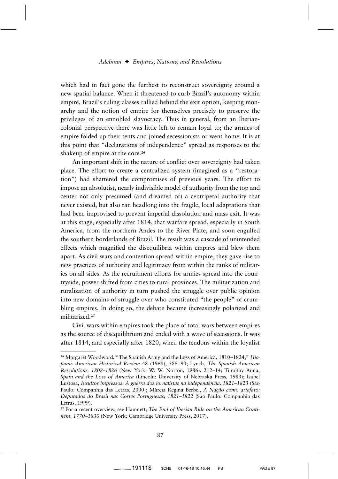which had in fact gone the furthest to reconstruct sovereignty around a new spatial balance. When it threatened to curb Brazil's autonomy within empire, Brazil's ruling classes rallied behind the exit option, keeping monarchy and the notion of empire for themselves precisely to preserve the privileges of an ennobled slavocracy. Thus in general, from an Iberiancolonial perspective there was little left to remain loyal to; the armies of empire folded up their tents and joined secessionists or went home. It is at this point that "declarations of independence" spread as responses to the shakeup of empire at the core.<sup>26</sup>

An important shift in the nature of conflict over sovereignty had taken place. The effort to create a centralized system (imagined as a "restoration") had shattered the compromises of previous years. The effort to impose an absolutist, nearly indivisible model of authority from the top and center not only presumed (and dreamed of) a centripetal authority that never existed, but also ran headlong into the fragile, local adaptations that had been improvised to prevent imperial dissolution and mass exit. It was at this stage, especially after 1814, that warfare spread, especially in South America, from the northern Andes to the River Plate, and soon engulfed the southern borderlands of Brazil. The result was a cascade of unintended effects which magnified the disequilibria within empires and blew them apart. As civil wars and contention spread within empire, they gave rise to new practices of authority and legitimacy from within the ranks of militaries on all sides. As the recruitment efforts for armies spread into the countryside, power shifted from cities to rural provinces. The militarization and ruralization of authority in turn pushed the struggle over public opinion into new domains of struggle over who constituted "the people" of crumbling empires. In doing so, the debate became increasingly polarized and militarized.27

Civil wars within empires took the place of total wars between empires as the source of disequilibrium and ended with a wave of secessions. It was after 1814, and especially after 1820, when the tendons within the loyalist

<sup>26</sup> Margaret Woodward, "The Spanish Army and the Loss of America, 1810–1824," *Hispanic American Historical Review* 48 (1968), 586–90; Lynch, *The Spanish American Revolutions, 1808–1826* (New York: W. W. Norton, 1986), 212–14; Timothy Anna, *Spain and the Loss of America* (Lincoln: University of Nebraska Press, 1983); Isabel Lustosa, *Insultos impressos: A guerra dos jornalistas na independência*, 1821-1823 (São Paulo: Companhia das Letras, 2000); Márcia Regina Berbel, *A Nação como artefato:* Deputados do Brasil nas Cortes Portuguesas, 1821-1822 (São Paulo: Companhia das Letras, 1999).

<sup>27</sup> For a recent overview, see Hamnett, *The End of Iberian Rule on the American Continent, 1770–1830* (New York: Cambridge University Press, 2017).